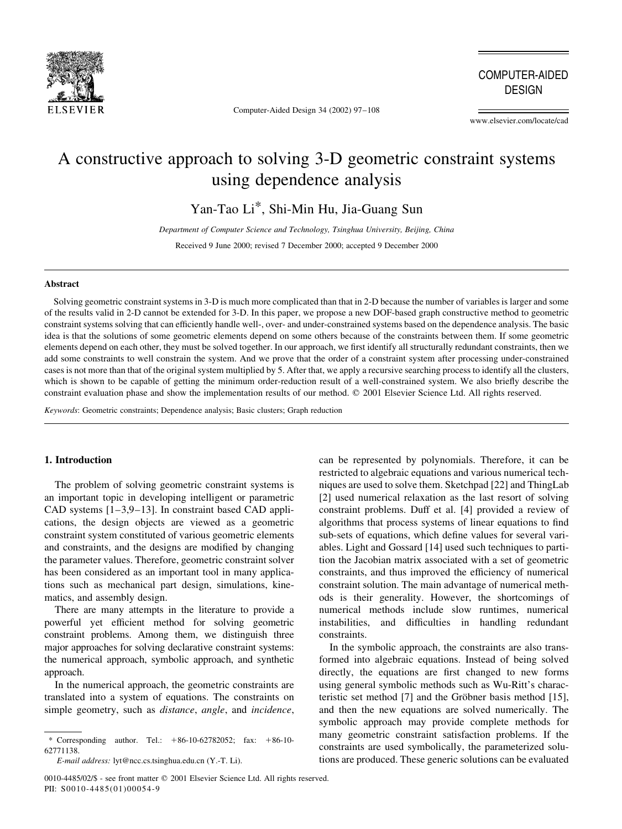

Computer-Aided Design 34 (2002) 97-108

**COMPUTER-AIDED DESIGN** 

www.elsevier.com/locate/cad

# A constructive approach to solving 3-D geometric constraint systems using dependence analysis

Yan-Tao Li\*, Shi-Min Hu, Jia-Guang Sun

Department of Computer Science and Technology, Tsinghua University, Beijing, China

Received 9 June 2000; revised 7 December 2000; accepted 9 December 2000

#### **Abstract**

Solving geometric constraint systems in 3-D is much more complicated than that in 2-D because the number of variables is larger and some of the results valid in 2-D cannot be extended for 3-D. In this paper, we propose a new DOF-based graph constructive method to geometric constraint systems solving that can efficiently handle well-, over- and under-constrained systems based on the dependence analysis. The basic idea is that the solutions of some geometric elements depend on some others because of the constraints between them. If some geometric elements depend on each other, they must be solved together. In our approach, we first identify all structurally redundant constraints, then we add some constraints to well constrain the system. And we prove that the order of a constraint system after processing under-constrained cases is not more than that of the original system multiplied by 5. After that, we apply a recursive searching process to identify all the clusters, which is shown to be capable of getting the minimum order-reduction result of a well-constrained system. We also briefly describe the constraint evaluation phase and show the implementation results of our method. © 2001 Elsevier Science Ltd. All rights reserved.

Keywords: Geometric constraints; Dependence analysis; Basic clusters; Graph reduction

# 1. Introduction

The problem of solving geometric constraint systems is an important topic in developing intelligent or parametric CAD systems  $[1-3,9-13]$ . In constraint based CAD applications, the design objects are viewed as a geometric constraint system constituted of various geometric elements and constraints, and the designs are modified by changing the parameter values. Therefore, geometric constraint solver has been considered as an important tool in many applications such as mechanical part design, simulations, kinematics, and assembly design.

There are many attempts in the literature to provide a powerful yet efficient method for solving geometric constraint problems. Among them, we distinguish three major approaches for solving declarative constraint systems: the numerical approach, symbolic approach, and synthetic approach.

In the numerical approach, the geometric constraints are translated into a system of equations. The constraints on simple geometry, such as *distance*, *angle*, and *incidence*,

0010-4485/02/\$ - see front matter © 2001 Elsevier Science Ltd. All rights reserved. PII: S0010-4485(01)00054-9

can be represented by polynomials. Therefore, it can be restricted to algebraic equations and various numerical techniques are used to solve them. Sketchpad [22] and ThingLab [2] used numerical relaxation as the last resort of solving constraint problems. Duff et al. [4] provided a review of algorithms that process systems of linear equations to find sub-sets of equations, which define values for several variables. Light and Gossard [14] used such techniques to partition the Jacobian matrix associated with a set of geometric constraints, and thus improved the efficiency of numerical constraint solution. The main advantage of numerical methods is their generality. However, the shortcomings of numerical methods include slow runtimes, numerical instabilities, and difficulties in handling redundant constraints.

In the symbolic approach, the constraints are also transformed into algebraic equations. Instead of being solved directly, the equations are first changed to new forms using general symbolic methods such as Wu-Ritt's characteristic set method [7] and the Gröbner basis method [15], and then the new equations are solved numerically. The symbolic approach may provide complete methods for many geometric constraint satisfaction problems. If the constraints are used symbolically, the parameterized solutions are produced. These generic solutions can be evaluated

<sup>\*</sup> Corresponding author. Tel.:  $+86-10-62782052$ ; fax:  $+86-10-$ 62771138

E-mail address: lyt@ncc.cs.tsinghua.edu.cn (Y.-T. Li).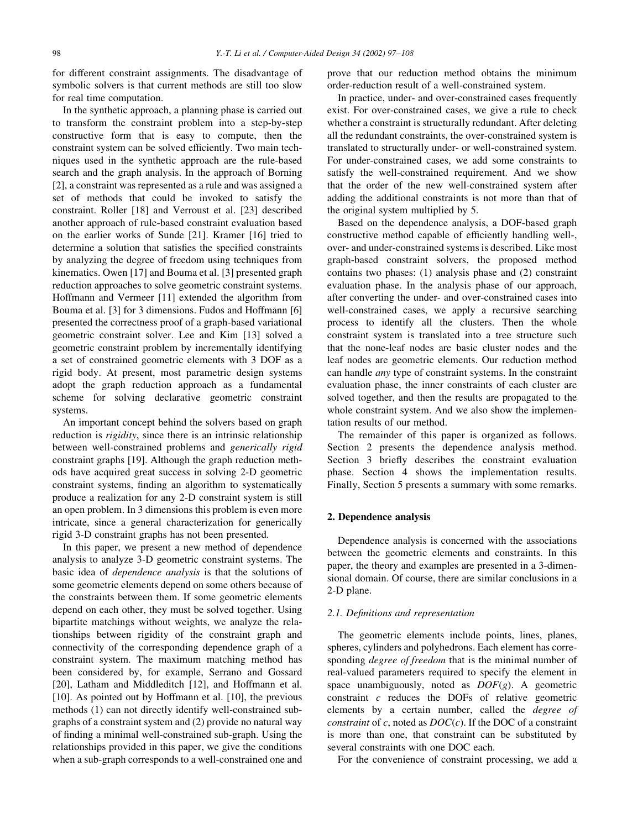for different constraint assignments. The disadvantage of symbolic solvers is that current methods are still too slow for real time computation.

In the synthetic approach, a planning phase is carried out to transform the constraint problem into a step-by-step constructive form that is easy to compute, then the constraint system can be solved efficiently. Two main techniques used in the synthetic approach are the rule-based search and the graph analysis. In the approach of Borning [2], a constraint was represented as a rule and was assigned a set of methods that could be invoked to satisfy the constraint. Roller [18] and Verroust et al. [23] described another approach of rule-based constraint evaluation based on the earlier works of Sunde [21]. Kramer [16] tried to determine a solution that satisfies the specified constraints by analyzing the degree of freedom using techniques from kinematics. Owen [17] and Bouma et al. [3] presented graph reduction approaches to solve geometric constraint systems. Hoffmann and Vermeer [11] extended the algorithm from Bouma et al. [3] for 3 dimensions. Fudos and Hoffmann [6] presented the correctness proof of a graph-based variational geometric constraint solver. Lee and Kim [13] solved a geometric constraint problem by incrementally identifying a set of constrained geometric elements with 3 DOF as a rigid body. At present, most parametric design systems adopt the graph reduction approach as a fundamental scheme for solving declarative geometric constraint systems.

An important concept behind the solvers based on graph reduction is *rigidity*, since there is an intrinsic relationship between well-constrained problems and *generically rigid* constraint graphs [19]. Although the graph reduction methods have acquired great success in solving 2-D geometric constraint systems, finding an algorithm to systematically produce a realization for any 2-D constraint system is still an open problem. In 3 dimensions this problem is even more intricate, since a general characterization for generically rigid 3-D constraint graphs has not been presented.

In this paper, we present a new method of dependence analysis to analyze 3-D geometric constraint systems. The basic idea of *dependence analysis* is that the solutions of some geometric elements depend on some others because of the constraints between them. If some geometric elements depend on each other, they must be solved together. Using bipartite matchings without weights, we analyze the relationships between rigidity of the constraint graph and connectivity of the corresponding dependence graph of a constraint system. The maximum matching method has been considered by, for example, Serrano and Gossard [20], Latham and Middleditch [12], and Hoffmann et al. [10]. As pointed out by Hoffmann et al. [10], the previous methods (1) can not directly identify well-constrained subgraphs of a constraint system and (2) provide no natural way of finding a minimal well-constrained sub-graph. Using the relationships provided in this paper, we give the conditions when a sub-graph corresponds to a well-constrained one and

prove that our reduction method obtains the minimum order-reduction result of a well-constrained system.

In practice, under- and over-constrained cases frequently exist. For over-constrained cases, we give a rule to check whether a constraint is structurally redundant. After deleting all the redundant constraints, the over-constrained system is translated to structurally under- or well-constrained system. For under-constrained cases, we add some constraints to satisfy the well-constrained requirement. And we show that the order of the new well-constrained system after adding the additional constraints is not more than that of the original system multiplied by 5.

Based on the dependence analysis, a DOF-based graph constructive method capable of efficiently handling well-, over- and under-constrained systems is described. Like most graph-based constraint solvers, the proposed method contains two phases:  $(1)$  analysis phase and  $(2)$  constraint evaluation phase. In the analysis phase of our approach, after converting the under- and over-constrained cases into well-constrained cases, we apply a recursive searching process to identify all the clusters. Then the whole constraint system is translated into a tree structure such that the none-leaf nodes are basic cluster nodes and the leaf nodes are geometric elements. Our reduction method can handle *any* type of constraint systems. In the constraint evaluation phase, the inner constraints of each cluster are solved together, and then the results are propagated to the whole constraint system. And we also show the implementation results of our method.

The remainder of this paper is organized as follows. Section 2 presents the dependence analysis method. Section 3 briefly describes the constraint evaluation phase. Section 4 shows the implementation results. Finally, Section 5 presents a summary with some remarks.

# 2. Dependence analysis

Dependence analysis is concerned with the associations between the geometric elements and constraints. In this paper, the theory and examples are presented in a 3-dimensional domain. Of course, there are similar conclusions in a 2-D plane.

# 2.1. Definitions and representation

The geometric elements include points, lines, planes, spheres, cylinders and polyhedrons. Each element has corresponding *degree of freedom* that is the minimal number of real-valued parameters required to specify the element in space unambiguously, noted as  $DOF(g)$ . A geometric constraint  $c$  reduces the DOFs of relative geometric elements by a certain number, called the *degree of constraint* of c, noted as  $DOC(c)$ . If the DOC of a constraint is more than one, that constraint can be substituted by several constraints with one DOC each.

For the convenience of constraint processing, we add a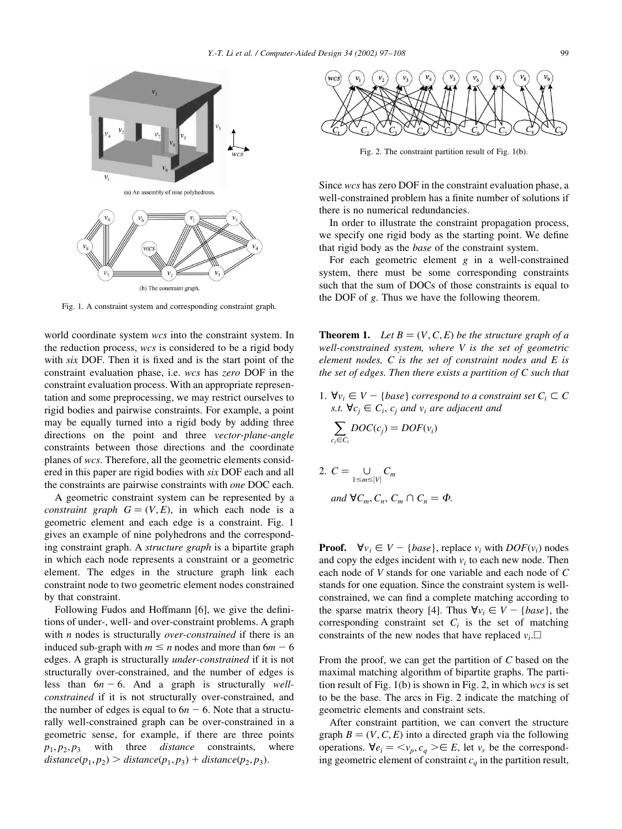

Fig. 1. A constraint system and corresponding constraint graph.

world coordinate system wcs into the constraint system. In the reduction process, wcs is considered to be a rigid body with six DOF. Then it is fixed and is the start point of the constraint evaluation phase, i.e. wcs has zero DOF in the constraint evaluation process. With an appropriate representation and some preprocessing, we may restrict ourselves to rigid bodies and pairwise constraints. For example, a point may be equally turned into a rigid body by adding three directions on the point and three vector-plane-angle constraints between those directions and the coordinate planes of wcs. Therefore, all the geometric elements considered in this paper are rigid bodies with six DOF each and all the constraints are pairwise constraints with *one* DOC each.

A geometric constraint system can be represented by a *constraint graph*  $G = (V, E)$ , in which each node is a geometric element and each edge is a constraint. Fig. 1 gives an example of nine polyhedrons and the corresponding constraint graph. A *structure graph* is a bipartite graph in which each node represents a constraint or a geometric element. The edges in the structure graph link each constraint node to two geometric element nodes constrained by that constraint.

Following Fudos and Hoffmann [6], we give the definitions of under-, well- and over-constraint problems. A graph with  $n$  nodes is structurally *over-constrained* if there is an induced sub-graph with  $m \le n$  nodes and more than  $6m - 6$ edges. A graph is structurally *under-constrained* if it is not structurally over-constrained, and the number of edges is less than  $6n - 6$ . And a graph is structurally wellconstrained if it is not structurally over-constrained, and the number of edges is equal to  $6n - 6$ . Note that a structurally well-constrained graph can be over-constrained in a geometric sense, for example, if there are three points with three *distance* constraints, where  $p_1, p_2, p_3$  $distance(p_1, p_2) > distance(p_1, p_3) + distance(p_2, p_3).$ 



Fig. 2. The constraint partition result of Fig. 1(b).

Since wcs has zero DOF in the constraint evaluation phase, a well-constrained problem has a finite number of solutions if there is no numerical redundancies.

In order to illustrate the constraint propagation process, we specify one rigid body as the starting point. We define that rigid body as the *base* of the constraint system.

For each geometric element  $g$  in a well-constrained system, there must be some corresponding constraints such that the sum of DOCs of those constraints is equal to the DOF of g. Thus we have the following theorem.

**Theorem 1.** Let  $B = (V, C, E)$  be the structure graph of a well-constrained system, where  $V$  is the set of geometric element nodes.  $C$  is the set of constraint nodes and  $E$  is the set of edges. Then there exists a partition of  $C$  such that

1.  $\forall v_i \in V - \{base\}$  correspond to a constraint set  $C_i \subset C$ s.t.  $\forall c_i \in C_i$ ,  $c_i$  and  $v_i$  are adjacent and

$$
\sum_{c_j \in C_i} DOC(c_j) = DOF(v_i)
$$

2. 
$$
C = \bigcup_{1 \le m \le |V|} C_m
$$
  
and 
$$
\forall C_m, C_n, C_m \cap C_n = \emptyset.
$$

**Proof.**  $\forall v_i \in V - \{base\}$ , replace  $v_i$  with  $DOF(v_i)$  nodes and copy the edges incident with  $v_i$  to each new node. Then each node of V stands for one variable and each node of C stands for one equation. Since the constraint system is wellconstrained, we can find a complete matching according to the sparse matrix theory [4]. Thus  $\forall v_i \in V - \{base\}$ , the corresponding constraint set  $C_i$  is the set of matching constraints of the new nodes that have replaced  $v_i$ .

From the proof, we can get the partition of  $C$  based on the maximal matching algorithm of bipartite graphs. The partition result of Fig.  $1(b)$  is shown in Fig. 2, in which wcs is set to be the base. The arcs in Fig. 2 indicate the matching of geometric elements and constraint sets.

After constraint partition, we can convert the structure graph  $B = (V, C, E)$  into a directed graph via the following operations.  $\forall e_i = \langle v_p, c_q \rangle \in E$ , let  $v_r$  be the corresponding geometric element of constraint  $c_a$  in the partition result,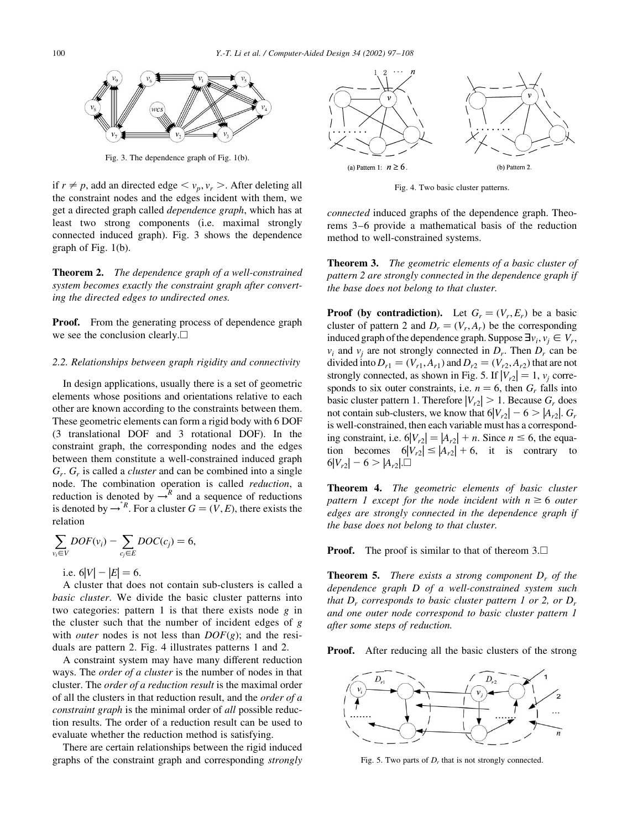

Fig. 3. The dependence graph of Fig. 1(b).

if  $r \neq p$ , add an directed edge  $\langle v_p, v_r \rangle$ . After deleting all the constraint nodes and the edges incident with them, we get a directed graph called *dependence graph*, which has at least two strong components (i.e. maximal strongly connected induced graph). Fig. 3 shows the dependence graph of Fig.  $1(b)$ .

**Theorem 2.** The dependence graph of a well-constrained system becomes exactly the constraint graph after converting the directed edges to undirected ones.

**Proof.** From the generating process of dependence graph we see the conclusion clearly. $\square$ 

#### 2.2. Relationships between graph rigidity and connectivity

In design applications, usually there is a set of geometric elements whose positions and orientations relative to each other are known according to the constraints between them. These geometric elements can form a rigid body with 6 DOF (3 translational DOF and 3 rotational DOF). In the constraint graph, the corresponding nodes and the edges between them constitute a well-constrained induced graph  $G_r$ .  $G_r$  is called a *cluster* and can be combined into a single node. The combination operation is called reduction, a reduction is denoted by  $\rightarrow^R$  and a sequence of reductions<br>is denoted by  $\rightarrow^R$ . For a cluster  $G = (V, E)$ , there exists the relation

$$
\sum_{v_i \in V} DOF(v_i) - \sum_{c_j \in E} DOC(c_j) = 6,
$$

i.e.  $6|V| - |E| = 6$ .

A cluster that does not contain sub-clusters is called a basic cluster. We divide the basic cluster patterns into two categories: pattern 1 is that there exists node  $g$  in the cluster such that the number of incident edges of  $g$ with *outer* nodes is not less than  $DOF(g)$ ; and the residuals are pattern 2. Fig. 4 illustrates patterns 1 and 2.

A constraint system may have many different reduction ways. The *order of a cluster* is the number of nodes in that cluster. The *order of a reduction result* is the maximal order of all the clusters in that reduction result, and the *order of a constraint graph* is the minimal order of *all* possible reduction results. The order of a reduction result can be used to evaluate whether the reduction method is satisfying.

There are certain relationships between the rigid induced graphs of the constraint graph and corresponding *strongly* 



Fig. 4. Two basic cluster patterns.

*connected* induced graphs of the dependence graph. Theorems 3–6 provide a mathematical basis of the reduction method to well-constrained systems.

**Theorem 3.** The geometric elements of a basic cluster of pattern 2 are strongly connected in the dependence graph if the base does not belong to that cluster.

**Proof** (by contradiction). Let  $G_r = (V_r, E_r)$  be a basic cluster of pattern 2 and  $D_r = (V_r, A_r)$  be the corresponding induced graph of the dependence graph. Suppose  $\exists v_i, v_i \in V_r$ ,  $v_i$  and  $v_j$  are not strongly connected in  $D_r$ . Then  $D_r$  can be divided into  $D_{r1} = (V_{r1}, A_{r1})$  and  $D_{r2} = (V_{r2}, A_{r2})$  that are not strongly connected, as shown in Fig. 5. If  $|V_{r2}| = 1$ ,  $v_i$  corresponds to six outer constraints, i.e.  $n = 6$ , then  $G_r$  falls into basic cluster pattern 1. Therefore  $|V_{r2}| > 1$ . Because  $G_r$  does not contain sub-clusters, we know that  $6|V_{r2}| - 6 > |A_{r2}|$ .  $G_r$ is well-constrained, then each variable must has a corresponding constraint, i.e.  $6|V_{r2}| = |A_{r2}| + n$ . Since  $n \le 6$ , the equation becomes  $6|V_{r2}| \le |A_{r2}| + 6$ , it is contrary to  $6|V_{r2}| - 6 > |A_{r2}|$ .

Theorem 4. The geometric elements of basic cluster pattern 1 except for the node incident with  $n \ge 6$  outer edges are strongly connected in the dependence graph if the base does not belong to that cluster.

**Proof.** The proof is similar to that of thereom  $3.\Box$ 

**Theorem 5.** There exists a strong component  $D<sub>r</sub>$  of the dependence graph D of a well-constrained system such that  $D_r$  corresponds to basic cluster pattern 1 or 2, or  $D_r$ and one outer node correspond to basic cluster pattern 1 after some steps of reduction.

**Proof.** After reducing all the basic clusters of the strong



Fig. 5. Two parts of  $D<sub>r</sub>$  that is not strongly connected.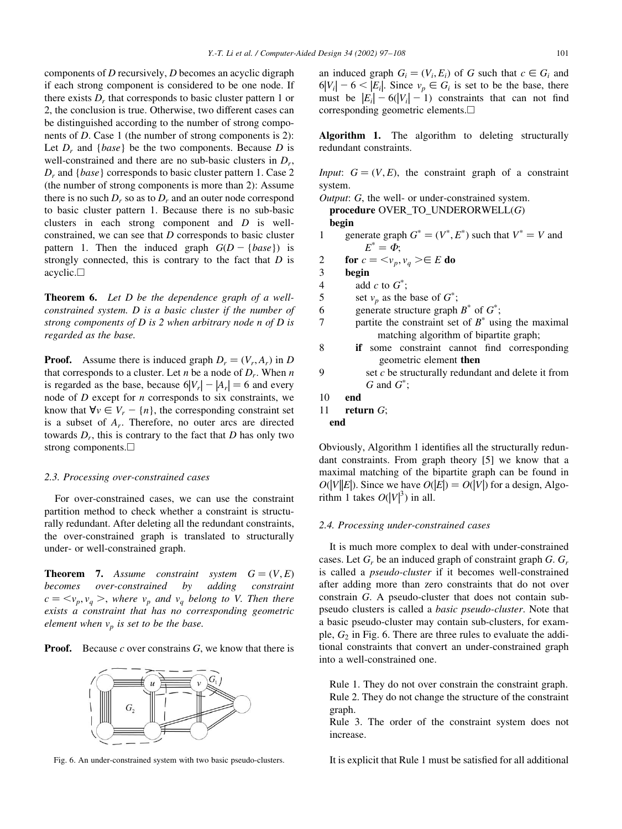components of  $D$  recursively,  $D$  becomes an acyclic digraph if each strong component is considered to be one node. If there exists  $D<sub>r</sub>$  that corresponds to basic cluster pattern 1 or 2, the conclusion is true. Otherwise, two different cases can be distinguished according to the number of strong components of  $D$ . Case 1 (the number of strong components is 2): Let  $D_r$  and {*base*} be the two components. Because D is well-constrained and there are no sub-basic clusters in  $D_r$ ,  $D<sub>r</sub>$  and {*base*} corresponds to basic cluster pattern 1. Case 2 (the number of strong components is more than 2): Assume there is no such  $D_r$  so as to  $D_r$  and an outer node correspond to basic cluster pattern 1. Because there is no sub-basic clusters in each strong component and  $D$  is wellconstrained, we can see that  $D$  corresponds to basic cluster pattern 1. Then the induced graph  $G(D - \{base\})$  is strongly connected, this is contrary to the fact that  $D$  is  $acyclic. \Box$ 

**Theorem 6.** Let D be the dependence graph of a wellconstrained system. D is a basic cluster if the number of strong components of  $D$  is 2 when arbitrary node n of  $D$  is regarded as the base.

**Proof.** Assume there is induced graph  $D_r = (V_r, A_r)$  in D that corresponds to a cluster. Let *n* be a node of  $D_r$ . When *n* is regarded as the base, because  $6|V_r| - |A_r| = 6$  and every node of  $D$  except for  $n$  corresponds to six constraints, we know that  $\forall v \in V_r - \{n\}$ , the corresponding constraint set is a subset of  $A_r$ . Therefore, no outer arcs are directed towards  $D_r$ , this is contrary to the fact that D has only two strong components.

#### 2.3. Processing over-constrained cases

For over-constrained cases, we can use the constraint partition method to check whether a constraint is structurally redundant. After deleting all the redundant constraints, the over-constrained graph is translated to structurally under- or well-constrained graph.

**Theorem 7.** Assume constraint system  $G = (V, E)$ becomes over-constrained  $b$ adding constraint  $c = \langle v_p, v_q \rangle$ , where  $v_p$  and  $v_q$  belong to V. Then there exists a constraint that has no corresponding geometric element when  $v_n$  is set to be the base.

**Proof.** Because c over constrains  $G$ , we know that there is



Fig. 6. An under-constrained system with two basic pseudo-clusters.

an induced graph  $G_i = (V_i, E_i)$  of G such that  $c \in G_i$  and  $6|V_i| - 6 < |E_i|$ . Since  $v_p \in G_i$  is set to be the base, there must be  $|E_i| - 6(|V_i| - 1)$  constraints that can not find corresponding geometric elements.□

Algorithm 1. The algorithm to deleting structurally redundant constraints.

*Input*:  $G = (V, E)$ , the constraint graph of a constraint system.

Output: G, the well- or under-constrained system.

procedure OVER\_TO\_UNDERORWELL(G) begin

generate graph  $G^* = (V^*, E^*)$  such that  $V^* = V$  and  $\mathbf{1}$  $E^* = \Phi$ ;

for  $c = \langle v_p, v_q \rangle \in E$  do  $\overline{2}$ 

3 begin

 $\overline{4}$ add c to  $G^*$ ;

 $\mathfrak s$ set  $v_n$  as the base of  $G^*$ ;

- 6 generate structure graph  $B^*$  of  $G^*$ ;
- $\overline{7}$ partite the constraint set of  $B^*$  using the maximal matching algorithm of bipartite graph;
- 8 if some constraint cannot find corresponding geometric element then
	- set c be structurally redundant and delete it from G and  $G^*$ :
- 10 end
- $11$ return  $G$ ;
- end

9

Obviously, Algorithm 1 identifies all the structurally redundant constraints. From graph theory [5] we know that a maximal matching of the bipartite graph can be found in  $O(|V||E|)$ . Since we have  $O(|E|) = O(|V|)$  for a design, Algorithm 1 takes  $O(|V|^3)$  in all.

## 2.4. Processing under-constrained cases

It is much more complex to deal with under-constrained cases. Let  $G_r$  be an induced graph of constraint graph  $G$ .  $G_r$ is called a *pseudo-cluster* if it becomes well-constrained after adding more than zero constraints that do not over constrain G. A pseudo-cluster that does not contain subpseudo clusters is called a *basic pseudo-cluster*. Note that a basic pseudo-cluster may contain sub-clusters, for example,  $G_2$  in Fig. 6. There are three rules to evaluate the additional constraints that convert an under-constrained graph into a well-constrained one.

Rule 1. They do not over constrain the constraint graph. Rule 2. They do not change the structure of the constraint graph.

Rule 3. The order of the constraint system does not increase.

It is explicit that Rule 1 must be satisfied for all additional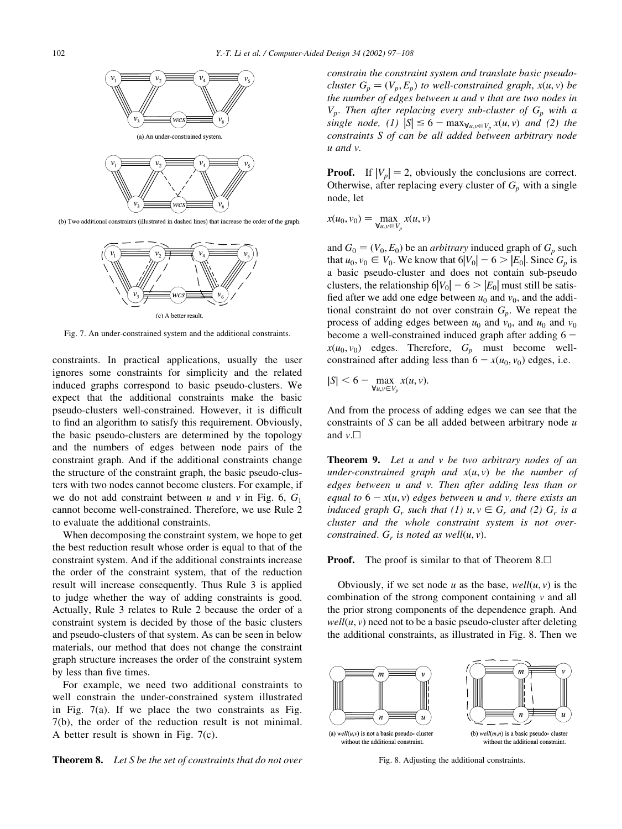

(b) Two additional constraints (illustrated in dashed lines) that increase the order of the graph.



Fig. 7. An under-constrained system and the additional constraints.

constraints. In practical applications, usually the user ignores some constraints for simplicity and the related induced graphs correspond to basic pseudo-clusters. We expect that the additional constraints make the basic pseudo-clusters well-constrained. However, it is difficult to find an algorithm to satisfy this requirement. Obviously, the basic pseudo-clusters are determined by the topology and the numbers of edges between node pairs of the constraint graph. And if the additional constraints change the structure of the constraint graph, the basic pseudo-clusters with two nodes cannot become clusters. For example, if we do not add constraint between u and v in Fig. 6,  $G_1$ cannot become well-constrained. Therefore, we use Rule 2 to evaluate the additional constraints.

When decomposing the constraint system, we hope to get the best reduction result whose order is equal to that of the constraint system. And if the additional constraints increase the order of the constraint system, that of the reduction result will increase consequently. Thus Rule 3 is applied to judge whether the way of adding constraints is good. Actually, Rule 3 relates to Rule 2 because the order of a constraint system is decided by those of the basic clusters and pseudo-clusters of that system. As can be seen in below materials, our method that does not change the constraint graph structure increases the order of the constraint system by less than five times.

For example, we need two additional constraints to well constrain the under-constrained system illustrated in Fig.  $7(a)$ . If we place the two constraints as Fig.  $7(b)$ , the order of the reduction result is not minimal. A better result is shown in Fig.  $7(c)$ .



constrain the constraint system and translate basic pseudocluster  $G_p = (V_p, E_p)$  to well-constrained graph,  $x(u, v)$  be the number of edges between u and v that are two nodes in  $V_p$ . Then after replacing every sub-cluster of  $G_p$  with a single node, (1)  $|S| \le 6 - \max_{\forall u,v \in V_n} x(u,v)$  and (2) the constraints S of can be all added between arbitrary node  $u$  and  $v$ .

**Proof.** If  $|V_n| = 2$ , obviously the conclusions are correct. Otherwise, after replacing every cluster of  $G_p$  with a single node, let

$$
x(u_0, v_0) = \max_{\forall u, v \in V_p} x(u, v)
$$

and  $G_0 = (V_0, E_0)$  be an *arbitrary* induced graph of  $G_p$  such that  $u_0, v_0 \in V_0$ . We know that  $6|V_0| - 6 > |E_0|$ . Since  $G_p$  is a basic pseudo-cluster and does not contain sub-pseudo clusters, the relationship  $6|V_0| - 6 > |E_0|$  must still be satisfied after we add one edge between  $u_0$  and  $v_0$ , and the additional constraint do not over constrain  $G_p$ . We repeat the process of adding edges between  $u_0$  and  $v_0$ , and  $u_0$  and  $v_0$ become a well-constrained induced graph after adding  $6$  $x(u_0, v_0)$  edges. Therefore,  $G_p$  must become wellconstrained after adding less than  $6 - x(u_0, v_0)$  edges, i.e.

$$
|S| < 6 - \max_{\forall u, v \in V_p} x(u, v).
$$

And from the process of adding edges we can see that the constraints of  $S$  can be all added between arbitrary node  $u$ and  $v.\Box$ 

**Theorem 9.** Let u and v be two arbitrary nodes of an under-constrained graph and  $x(u, v)$  be the number of edges between u and v. Then after adding less than or equal to  $6 - x(u, v)$  edges between u and v, there exists an induced graph  $G_r$  such that (1)  $u, v \in G_r$  and (2)  $G_r$  is a cluster and the whole constraint system is not overconstrained.  $G_r$  is noted as well $(u, v)$ .

**Proof.** The proof is similar to that of Theorem  $8.\Box$ 

Obviously, if we set node u as the base,  $well(u, v)$  is the combination of the strong component containing  $\nu$  and all the prior strong components of the dependence graph. And  $well(u, v)$  need not to be a basic pseudo-cluster after deleting the additional constraints, as illustrated in Fig. 8. Then we



Fig. 8. Adjusting the additional constraints.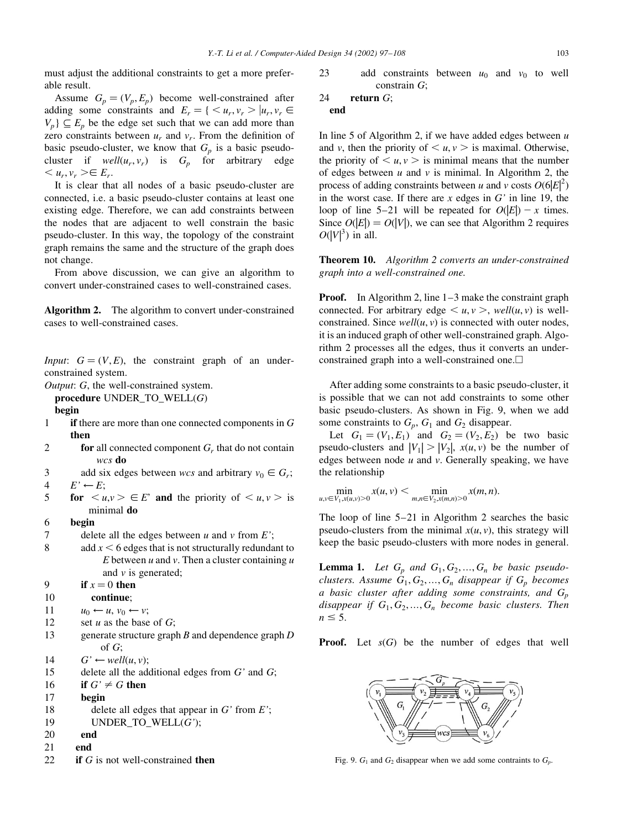must adjust the additional constraints to get a more preferable result.

Assume  $G_p = (V_p, E_p)$  become well-constrained after adding some constraints and  $E_r = \{ \langle u_r, v_r \rangle | u_r, v_r \in$  $V_p$   $\subseteq$   $E_p$  be the edge set such that we can add more than zero constraints between  $u_r$  and  $v_r$ . From the definition of basic pseudo-cluster, we know that  $G_n$  is a basic pseudocluster if  $well(u_r, v_r)$  is  $G_p$  for arbitrary edge  $,  $v_{r}$  > $\in E_{r}$ .</u>$ 

It is clear that all nodes of a basic pseudo-cluster are connected, i.e. a basic pseudo-cluster contains at least one existing edge. Therefore, we can add constraints between the nodes that are adjacent to well constrain the basic pseudo-cluster. In this way, the topology of the constraint graph remains the same and the structure of the graph does not change.

From above discussion, we can give an algorithm to convert under-constrained cases to well-constrained cases.

Algorithm 2. The algorithm to convert under-constrained cases to well-constrained cases.

*Input*:  $G = (V, E)$ , the constraint graph of an underconstrained system.

*Output: G, the well-constrained system.* 

procedure UNDER\_TO\_WELL(G)

#### begin

- $\mathbf{1}$ if there are more than one connected components in  $G$ then
- $\overline{2}$ for all connected component  $G_r$ , that do not contain wcs do
- $\overline{\mathcal{E}}$ add six edges between wcs and arbitrary  $v_0 \in G_r$ ;
- $\overline{4}$  $E' \leftarrow E$ ;
- 5 for  $\langle u, v \rangle \in E'$  and the priority of  $\langle u, v \rangle$  is minimal do
- 6 begin
- $\overline{7}$ delete all the edges between  $u$  and  $v$  from  $E'$ ;
- 8 add  $x < 6$  edges that is not structurally redundant to E between  $u$  and  $v$ . Then a cluster containing  $u$ and  $\nu$  is generated;

```
\mathbf Qif x = 0 then
```

```
10
          continue;
```

```
11
                u_0 \leftarrow u, v_0 \leftarrow v;
```
- 12 set  $u$  as the base of  $G$ ;
- 13 generate structure graph  $B$  and dependence graph  $D$ of  $G$ :
- 14  $G' \leftarrow well(u, v)$ :
- 15 delete all the additional edges from  $G'$  and  $G$ ;
- 16 if  $G' \neq G$  then
- 17 begin
- 18 delete all edges that appear in  $G'$  from  $E'$ ;
- 19 UNDER\_TO\_WELL $(G')$ ;
- 20 end
- $21$ end
- 22 if  $G$  is not well-constrained then

23 add constraints between  $u_0$  and  $v_0$  to well constrain  $G$ ;

$$
24 \quad \text{return } G;
$$

In line 5 of Algorithm 2, if we have added edges between  $u$ and v, then the priority of  $\langle u, v \rangle$  is maximal. Otherwise, the priority of  $\langle u, v \rangle$  is minimal means that the number of edges between  $u$  and  $v$  is minimal. In Algorithm 2, the process of adding constraints between u and v costs  $O(6|E|^2)$ in the worst case. If there are  $x$  edges in  $G'$  in line 19, the loop of line 5–21 will be repeated for  $O(|E|) - x$  times. Since  $O(|E|) = O(|V|)$ , we can see that Algorithm 2 requires  $O(|V|^3)$  in all.

**Theorem 10.** Algorithm 2 converts an under-constrained graph into a well-constrained one.

**Proof.** In Algorithm 2, line  $1-3$  make the constraint graph connected. For arbitrary edge  $\langle u, v \rangle$ , well(u, v) is wellconstrained. Since  $well(u, v)$  is connected with outer nodes, it is an induced graph of other well-constrained graph. Algorithm 2 processes all the edges, thus it converts an underconstrained graph into a well-constrained one.

After adding some constraints to a basic pseudo-cluster, it is possible that we can not add constraints to some other basic pseudo-clusters. As shown in Fig. 9, when we add some constraints to  $G_p$ ,  $G_1$  and  $G_2$  disappear.

Let  $G_1 = (V_1, E_1)$  and  $G_2 = (V_2, E_2)$  be two basic pseudo-clusters and  $|V_1| > |V_2|$ ,  $x(u, v)$  be the number of edges between node  $u$  and  $v$ . Generally speaking, we have the relationship

 $\min_{u,v \in V_1, x(u,v) > 0} x(u,v) < \min_{m,n \in V_2, x(m,n) > 0} x(m,n).$ 

The loop of line  $5-21$  in Algorithm 2 searches the basic pseudo-clusters from the minimal  $x(u, v)$ , this strategy will keep the basic pseudo-clusters with more nodes in general.

**Lemma 1.** Let  $G_n$  and  $G_1, G_2, ..., G_n$  be basic pseudoclusters. Assume  $G_1, G_2, ..., G_n$  disappear if  $G_p$  becomes a basic cluster after adding some constraints, and  $G_p$ disappear if  $G_1, G_2, ..., G_n$  become basic clusters. Then  $n \leq 5$ .

**Proof.** Let  $s(G)$  be the number of edges that well



Fig. 9.  $G_1$  and  $G_2$  disappear when we add some contraints to  $G_n$ .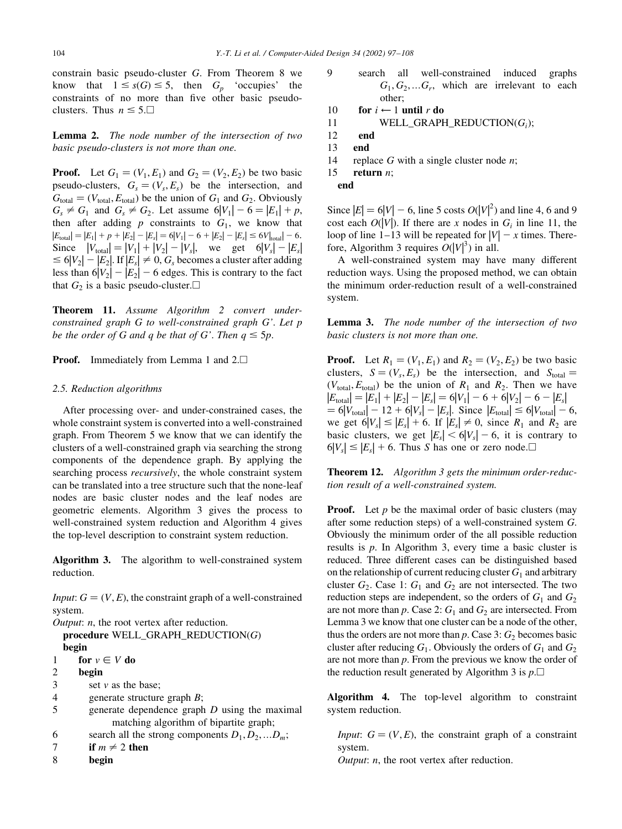constrain basic pseudo-cluster G. From Theorem 8 we know that  $1 \leq s(G) \leq 5$ , then  $G_p$  'occupies' the constraints of no more than five other basic pseudoclusters. Thus  $n \leq 5$ .

**Lemma 2.** The node number of the intersection of two basic pseudo-clusters is not more than one.

**Proof.** Let  $G_1 = (V_1, E_1)$  and  $G_2 = (V_2, E_2)$  be two basic pseudo-clusters,  $G_s = (V_s, E_s)$  be the intersection, and  $G_{\text{total}} = (V_{\text{total}}, E_{\text{total}})$  be the union of  $G_1$  and  $G_2$ . Obviously  $G_s \neq G_1$  and  $G_s \neq G_2$ . Let assume  $6|V_1| - 6 = |E_1| + p$ , then after adding  $p$  constraints to  $G_1$ , we know that  $|E_{\text{total}}| = |E_1| + p + |E_2| - |E_s| = 6|V_1| - 6 + |E_2| - |E_s| \le 6|V_{\text{total}}| - 6.$ Since  $|V_{\text{total}}| = |V_1| + |V_2| - |V_s|$ , we get  $6|V_s| - |E_s|$  $\leq 6|V_2|-|E_2|$ . If  $|E_s|\neq 0$ ,  $G_s$  becomes a cluster after adding less than  $6|V_2| - |E_2| - 6$  edges. This is contrary to the fact that  $G_2$  is a basic pseudo-cluster.  $\Box$ 

Theorem 11. Assume Algorithm 2 convert underconstrained graph G to well-constrained graph G'. Let p be the order of G and q be that of G'. Then  $q \leq 5p$ .

**Proof.** Immediately from Lemma 1 and  $2.\Box$ 

#### 2.5. Reduction algorithms

After processing over- and under-constrained cases, the whole constraint system is converted into a well-constrained graph. From Theorem 5 we know that we can identify the clusters of a well-constrained graph via searching the strong components of the dependence graph. By applying the searching process *recursively*, the whole constraint system can be translated into a tree structure such that the none-leaf nodes are basic cluster nodes and the leaf nodes are geometric elements. Algorithm 3 gives the process to well-constrained system reduction and Algorithm 4 gives the top-level description to constraint system reduction.

**Algorithm 3.** The algorithm to well-constrained system reduction.

*Input*:  $G = (V, E)$ , the constraint graph of a well-constrained system.

*Output: n,* the root vertex after reduction. procedure  $WELL_GRAPH\_REDUCTION(G)$ begin  $\mathbf{1}$ for  $v \in V$  do  $\overline{\mathcal{L}}$ hegin  $\mathcal{E}$ set  $v$  as the base:  $\overline{\mathbf{A}}$ generate structure graph  $B$ ; 5 generate dependence graph  $D$  using the maximal matching algorithm of bipartite graph; 6 search all the strong components  $D_1, D_2, ... D_m$ ;  $\overline{7}$ if  $m \neq 2$  then begin 8

- 9 well-constrained search all induced graphs  $G_1, G_2, \ldots G_r$ , which are irrelevant to each other:
- $10$ for  $i \leftarrow 1$  until r do
- $11$ WELL GRAPH REDUCTION( $G_i$ );
- 12 end
- 13 end
- 14 replace  $G$  with a single cluster node  $n$ ;
- 15 return  $n$ ;

end

Since  $|E| = 6|V| - 6$ , line 5 costs  $O(|V|^2)$  and line 4, 6 and 9 cost each  $O(|V|)$ . If there are x nodes in  $G_i$  in line 11, the loop of line 1–13 will be repeated for  $|V| - x$  times. Therefore, Algorithm 3 requires  $O(|V|^3)$  in all.

A well-constrained system may have many different reduction ways. Using the proposed method, we can obtain the minimum order-reduction result of a well-constrained system.

**Lemma 3.** The node number of the intersection of two basic clusters is not more than one.

**Proof.** Let  $R_1 = (V_1, E_1)$  and  $R_2 = (V_2, E_2)$  be two basic clusters,  $S = (V_s, E_s)$  be the intersection, and  $S_{total} =$  $(V_{\text{total}}, E_{\text{total}})$  be the union of  $R_1$  and  $R_2$ . Then we have  $|E_{\text{total}}| = |E_1| + |E_2| - |E_s| = 6|V_1| - 6 + 6|V_2| - 6 - |E_s|$  $= 6|V_{\text{total}}| - 12 + 6|V_{s}| - |E_{s}|$ . Since  $|E_{\text{total}}| \le 6|V_{\text{total}}| - 6$ , we get  $6|V_s| \le |E_s| + 6$ . If  $|E_s| \ne 0$ , since  $R_1$  and  $R_2$  are basic clusters, we get  $|E_s| < 6|V_s| - 6$ , it is contrary to  $6|V_s| \leq |E_s| + 6$ . Thus *S* has one or zero node.

**Theorem 12.** Algorithm 3 gets the minimum order-reduction result of a well-constrained system.

**Proof.** Let  $p$  be the maximal order of basic clusters (may after some reduction steps) of a well-constrained system  $G$ . Obviously the minimum order of the all possible reduction results is  $p$ . In Algorithm 3, every time a basic cluster is reduced. Three different cases can be distinguished based on the relationship of current reducing cluster  $G_1$  and arbitrary cluster  $G_2$ . Case 1:  $G_1$  and  $G_2$  are not intersected. The two reduction steps are independent, so the orders of  $G_1$  and  $G_2$ are not more than p. Case 2:  $G_1$  and  $G_2$  are intersected. From Lemma 3 we know that one cluster can be a node of the other, thus the orders are not more than  $p$ . Case 3:  $G_2$  becomes basic cluster after reducing  $G_1$ . Obviously the orders of  $G_1$  and  $G_2$ are not more than  $p$ . From the previous we know the order of the reduction result generated by Algorithm 3 is  $p.\Box$ 

Algorithm 4. The top-level algorithm to constraint system reduction.

*Input*:  $G = (V, E)$ , the constraint graph of a constraint system.

*Output: n,* the root vertex after reduction.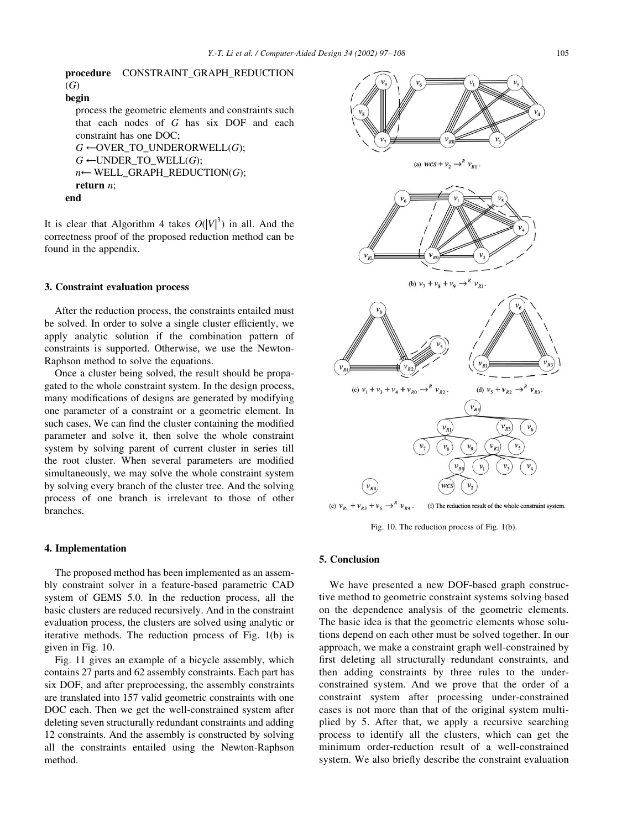```
procedure CONSTRAINT_GRAPH_REDUCTION
(G)begin
  process the geometric elements and constraints such
  that each nodes of G has six DOF and each
  constraint has one DOC:
  G \leftarrowOVER_TO_UNDERORWELL(G);
  G \leftarrowUNDER_TO_WELL(G);
  n \leftarrow \text{WELL} GRAPH REDUCTION(G);
  return n:
end
```
It is clear that Algorithm 4 takes  $O(|V|^3)$  in all. And the correctness proof of the proposed reduction method can be found in the appendix.

## 3. Constraint evaluation process

After the reduction process, the constraints entailed must be solved. In order to solve a single cluster efficiently, we apply analytic solution if the combination pattern of constraints is supported. Otherwise, we use the Newton-Raphson method to solve the equations.

Once a cluster being solved, the result should be propagated to the whole constraint system. In the design process, many modifications of designs are generated by modifying one parameter of a constraint or a geometric element. In such cases, We can find the cluster containing the modified parameter and solve it, then solve the whole constraint system by solving parent of current cluster in series till the root cluster. When several parameters are modified simultaneously, we may solve the whole constraint system by solving every branch of the cluster tree. And the solving process of one branch is irrelevant to those of other branches.

## 4. Implementation

The proposed method has been implemented as an assembly constraint solver in a feature-based parametric CAD system of GEMS 5.0. In the reduction process, all the basic clusters are reduced recursively. And in the constraint evaluation process, the clusters are solved using analytic or iterative methods. The reduction process of Fig. 1(b) is given in Fig. 10.

Fig. 11 gives an example of a bicycle assembly, which contains 27 parts and 62 assembly constraints. Each part has six DOF, and after preprocessing, the assembly constraints are translated into 157 valid geometric constraints with one DOC each. Then we get the well-constrained system after deleting seven structurally redundant constraints and adding 12 constraints. And the assembly is constructed by solving all the constraints entailed using the Newton-Raphson method.



Fig. 10. The reduction process of Fig. 1(b).

# 5. Conclusion

We have presented a new DOF-based graph constructive method to geometric constraint systems solving based on the dependence analysis of the geometric elements. The basic idea is that the geometric elements whose solutions depend on each other must be solved together. In our approach, we make a constraint graph well-constrained by first deleting all structurally redundant constraints, and then adding constraints by three rules to the underconstrained system. And we prove that the order of a constraint system after processing under-constrained cases is not more than that of the original system multiplied by 5. After that, we apply a recursive searching process to identify all the clusters, which can get the minimum order-reduction result of a well-constrained system. We also briefly describe the constraint evaluation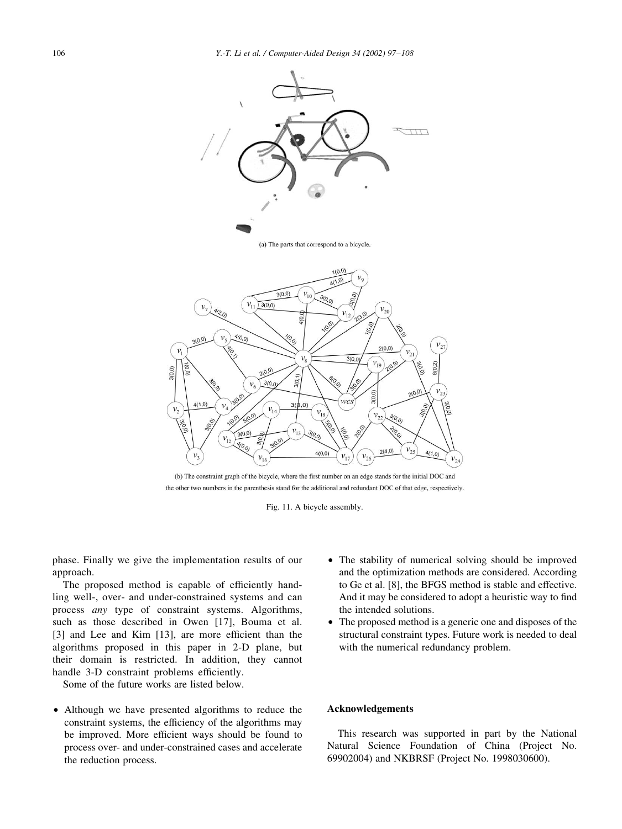

(b) The constraint graph of the bicycle, where the first number on an edge stands for the initial DOC and the other two numbers in the parenthesis stand for the additional and redundant DOC of that edge, respectively.

Fig. 11. A bicycle assembly.

phase. Finally we give the implementation results of our approach.

The proposed method is capable of efficiently handling well-, over- and under-constrained systems and can process any type of constraint systems. Algorithms, such as those described in Owen [17], Bouma et al. [3] and Lee and Kim [13], are more efficient than the algorithms proposed in this paper in 2-D plane, but their domain is restricted. In addition, they cannot handle 3-D constraint problems efficiently.

Some of the future works are listed below.

• Although we have presented algorithms to reduce the constraint systems, the efficiency of the algorithms may be improved. More efficient ways should be found to process over- and under-constrained cases and accelerate the reduction process.

- The stability of numerical solving should be improved and the optimization methods are considered. According to Ge et al. [8], the BFGS method is stable and effective. And it may be considered to adopt a heuristic way to find the intended solutions.
- The proposed method is a generic one and disposes of the structural constraint types. Future work is needed to deal with the numerical redundancy problem.

# **Acknowledgements**

This research was supported in part by the National Natural Science Foundation of China (Project No. 69902004) and NKBRSF (Project No. 1998030600).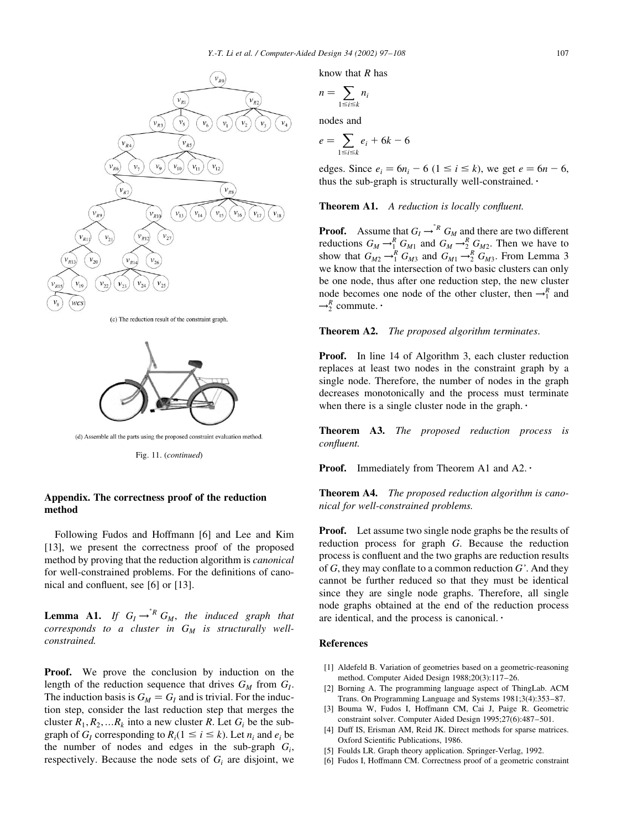

(c) The reduction result of the constraint graph.



(d) Assemble all the parts using the proposed constraint evaluation method

Fig. 11. (continued)

# Appendix. The correctness proof of the reduction method

Following Fudos and Hoffmann [6] and Lee and Kim [13], we present the correctness proof of the proposed method by proving that the reduction algorithm is *canonical* for well-constrained problems. For the definitions of canonical and confluent, see [6] or [13].

**Lemma A1.** If  $G_I \rightarrow^* R G_M$ , the induced graph that corresponds to a cluster in  $G_M$  is structurally wellconstrained.

**Proof.** We prove the conclusion by induction on the length of the reduction sequence that drives  $G_M$  from  $G_I$ . The induction basis is  $G_M = G_I$  and is trivial. For the induction step, consider the last reduction step that merges the cluster  $R_1, R_2, \ldots R_k$  into a new cluster R. Let  $G_i$  be the subgraph of  $G_i$  corresponding to  $R_i$  ( $1 \le i \le k$ ). Let  $n_i$  and  $e_i$  be the number of nodes and edges in the sub-graph  $G_i$ , respectively. Because the node sets of  $G_i$  are disjoint, we

know that  $R$  has

$$
n=\sum_{1\leq i\leq k}n_i
$$

nodes and

$$
e = \sum_{1 \le i \le k} e_i + 6k - 6
$$

edges. Since  $e_i = 6n_i - 6$  ( $1 \le i \le k$ ), we get  $e = 6n - 6$ , thus the sub-graph is structurally well-constrained.  $\cdot$ 

Theorem A1. A reduction is locally confluent.

**Proof.** Assume that  $G_I \rightarrow^*^R G_M$  and there are two different rroot. Assume that  $G_I \rightarrow_{N}^{R} G_{M1}$  and  $G_M \rightarrow_{2}^{R} G_{M2}$ . Then we have to<br>show that  $G_{M2} \rightarrow_{1}^{R} G_{M3}$  and  $G_{M1} \rightarrow_{2}^{R} G_{M3}$ . From Lemma 3 we know that the intersection of two basic clusters can only be one node, thus after one reduction step, the new cluster node becomes one node of the other cluster, then  $\rightarrow_1^R$  and  $\rightarrow_2^R$  commute.

**Theorem A2.** The proposed algorithm terminates.

**Proof.** In line 14 of Algorithm 3, each cluster reduction replaces at least two nodes in the constraint graph by a single node. Therefore, the number of nodes in the graph decreases monotonically and the process must terminate when there is a single cluster node in the graph. $\cdot$ 

**Theorem A3.** The proposed reduction process is confluent.

**Proof.** Immediately from Theorem A1 and A2. $\cdot$ 

**Theorem A4.** The proposed reduction algorithm is canonical for well-constrained problems.

**Proof.** Let assume two single node graphs be the results of reduction process for graph G. Because the reduction process is confluent and the two graphs are reduction results of G, they may conflate to a common reduction  $G'$ . And they cannot be further reduced so that they must be identical since they are single node graphs. Therefore, all single node graphs obtained at the end of the reduction process are identical, and the process is canonical. $\cdot$ 

#### **References**

- [1] Aldefeld B. Variation of geometries based on a geometric-reasoning method. Computer Aided Design 1988:20(3):117-26.
- [2] Borning A. The programming language aspect of ThingLab. ACM Trans. On Programming Language and Systems 1981;3(4):353-87.
- Bouma W, Fudos I, Hoffmann CM, Cai J, Paige R. Geometric [3] constraint solver. Computer Aided Design 1995;27(6):487-501.
- Duff IS, Erisman AM, Reid JK. Direct methods for sparse matrices.  $[4]$ Oxford Scientific Publications, 1986.
- [5] Foulds LR. Graph theory application. Springer-Verlag, 1992.
- [6] Fudos I, Hoffmann CM. Correctness proof of a geometric constraint